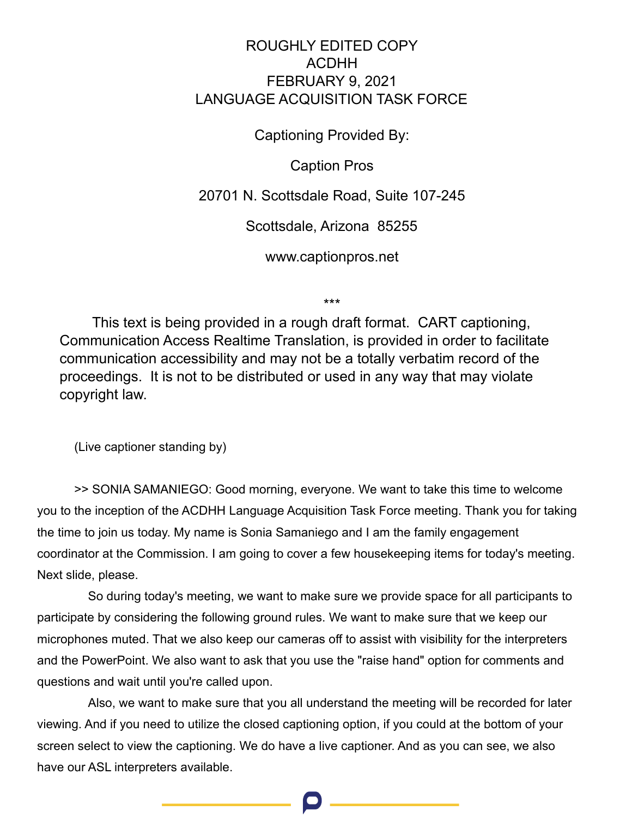## ROUGHLY EDITED COPY ACDHH FEBRUARY 9, 2021 LANGUAGE ACQUISITION TASK FORCE

Captioning Provided By:

Caption Pros

20701 N. Scottsdale Road, Suite 107-245

Scottsdale, Arizona 85255

www.captionpros.net

\*\*\*

This text is being provided in a rough draft format. CART captioning, Communication Access Realtime Translation, is provided in order to facilitate communication accessibility and may not be a totally verbatim record of the proceedings. It is not to be distributed or used in any way that may violate copyright law.

(Live captioner standing by)

>> SONIA SAMANIEGO: Good morning, everyone. We want to take this time to welcome you to the inception of the ACDHH Language Acquisition Task Force meeting. Thank you for taking the time to join us today. My name is Sonia Samaniego and I am the family engagement coordinator at the Commission. I am going to cover a few housekeeping items for today's meeting. Next slide, please.

So during today's meeting, we want to make sure we provide space for all participants to participate by considering the following ground rules. We want to make sure that we keep our microphones muted. That we also keep our cameras off to assist with visibility for the interpreters and the PowerPoint. We also want to ask that you use the "raise hand" option for comments and questions and wait until you're called upon.

Also, we want to make sure that you all understand the meeting will be recorded for later viewing. And if you need to utilize the closed captioning option, if you could at the bottom of your screen select to view the captioning. We do have a live captioner. And as you can see, we also have our ASL interpreters available.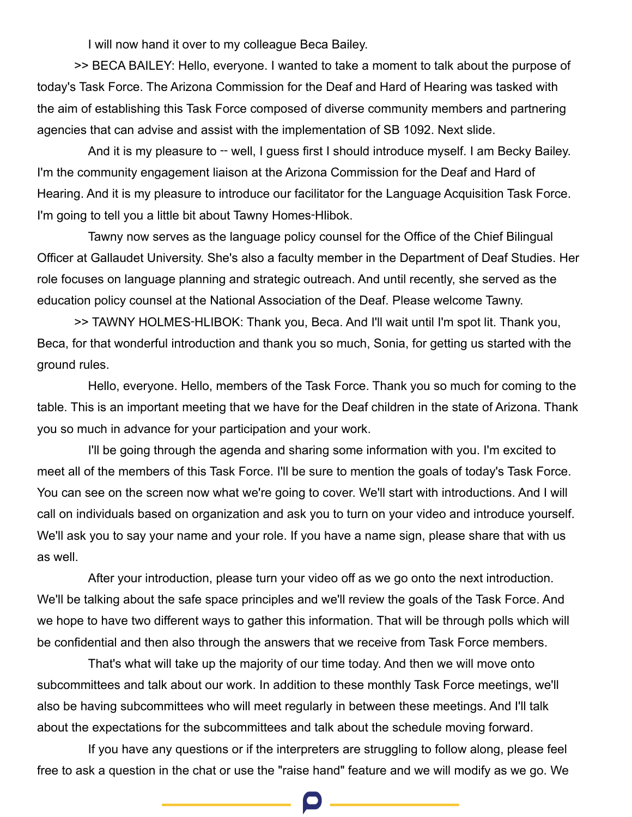I will now hand it over to my colleague Beca Bailey.

>> BECA BAILEY: Hello, everyone. I wanted to take a moment to talk about the purpose of today's Task Force. The Arizona Commission for the Deaf and Hard of Hearing was tasked with the aim of establishing this Task Force composed of diverse community members and partnering agencies that can advise and assist with the implementation of SB 1092. Next slide.

And it is my pleasure to -- well, I guess first I should introduce myself. I am Becky Bailey. I'm the community engagement liaison at the Arizona Commission for the Deaf and Hard of Hearing. And it is my pleasure to introduce our facilitator for the Language Acquisition Task Force. I'm going to tell you a little bit about Tawny Homes-Hlibok.

Tawny now serves as the language policy counsel for the Office of the Chief Bilingual Officer at Gallaudet University. She's also a faculty member in the Department of Deaf Studies. Her role focuses on language planning and strategic outreach. And until recently, she served as the education policy counsel at the National Association of the Deaf. Please welcome Tawny.

>> TAWNY HOLMES‑HLIBOK: Thank you, Beca. And I'll wait until I'm spot lit. Thank you, Beca, for that wonderful introduction and thank you so much, Sonia, for getting us started with the ground rules.

Hello, everyone. Hello, members of the Task Force. Thank you so much for coming to the table. This is an important meeting that we have for the Deaf children in the state of Arizona. Thank you so much in advance for your participation and your work.

I'll be going through the agenda and sharing some information with you. I'm excited to meet all of the members of this Task Force. I'll be sure to mention the goals of today's Task Force. You can see on the screen now what we're going to cover. We'll start with introductions. And I will call on individuals based on organization and ask you to turn on your video and introduce yourself. We'll ask you to say your name and your role. If you have a name sign, please share that with us as well.

After your introduction, please turn your video off as we go onto the next introduction. We'll be talking about the safe space principles and we'll review the goals of the Task Force. And we hope to have two different ways to gather this information. That will be through polls which will be confidential and then also through the answers that we receive from Task Force members.

That's what will take up the majority of our time today. And then we will move onto subcommittees and talk about our work. In addition to these monthly Task Force meetings, we'll also be having subcommittees who will meet regularly in between these meetings. And I'll talk about the expectations for the subcommittees and talk about the schedule moving forward.

If you have any questions or if the interpreters are struggling to follow along, please feel free to ask a question in the chat or use the "raise hand" feature and we will modify as we go. We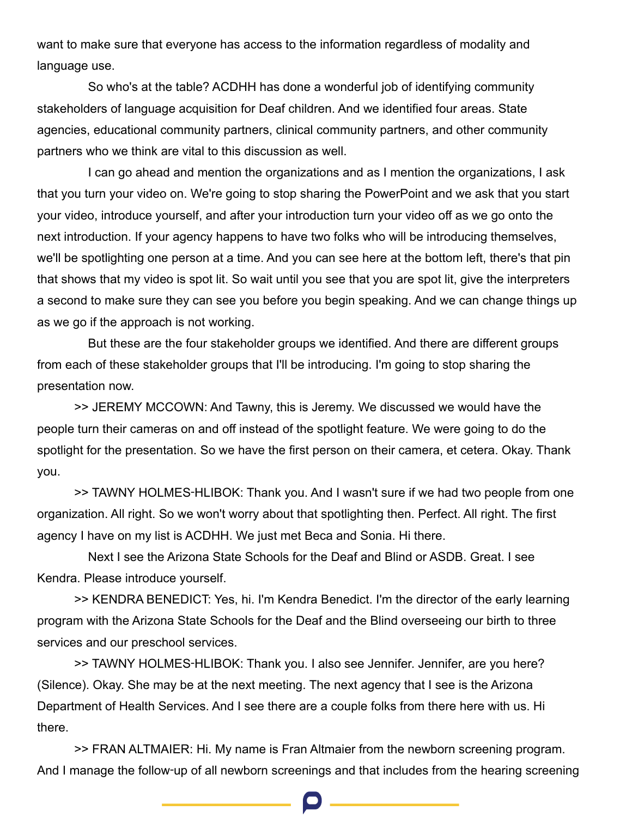want to make sure that everyone has access to the information regardless of modality and language use.

So who's at the table? ACDHH has done a wonderful job of identifying community stakeholders of language acquisition for Deaf children. And we identified four areas. State agencies, educational community partners, clinical community partners, and other community partners who we think are vital to this discussion as well.

I can go ahead and mention the organizations and as I mention the organizations, I ask that you turn your video on. We're going to stop sharing the PowerPoint and we ask that you start your video, introduce yourself, and after your introduction turn your video off as we go onto the next introduction. If your agency happens to have two folks who will be introducing themselves, we'll be spotlighting one person at a time. And you can see here at the bottom left, there's that pin that shows that my video is spot lit. So wait until you see that you are spot lit, give the interpreters a second to make sure they can see you before you begin speaking. And we can change things up as we go if the approach is not working.

But these are the four stakeholder groups we identified. And there are different groups from each of these stakeholder groups that I'll be introducing. I'm going to stop sharing the presentation now.

>> JEREMY MCCOWN: And Tawny, this is Jeremy. We discussed we would have the people turn their cameras on and off instead of the spotlight feature. We were going to do the spotlight for the presentation. So we have the first person on their camera, et cetera. Okay. Thank you.

>> TAWNY HOLMES‑HLIBOK: Thank you. And I wasn't sure if we had two people from one organization. All right. So we won't worry about that spotlighting then. Perfect. All right. The first agency I have on my list is ACDHH. We just met Beca and Sonia. Hi there.

Next I see the Arizona State Schools for the Deaf and Blind or ASDB. Great. I see Kendra. Please introduce yourself.

>> KENDRA BENEDICT: Yes, hi. I'm Kendra Benedict. I'm the director of the early learning program with the Arizona State Schools for the Deaf and the Blind overseeing our birth to three services and our preschool services.

>> TAWNY HOLMES-HLIBOK: Thank you. I also see Jennifer. Jennifer, are you here? (Silence). Okay. She may be at the next meeting. The next agency that I see is the Arizona Department of Health Services. And I see there are a couple folks from there here with us. Hi there.

>> FRAN ALTMAIER: Hi. My name is Fran Altmaier from the newborn screening program. And I manage the follow-up of all newborn screenings and that includes from the hearing screening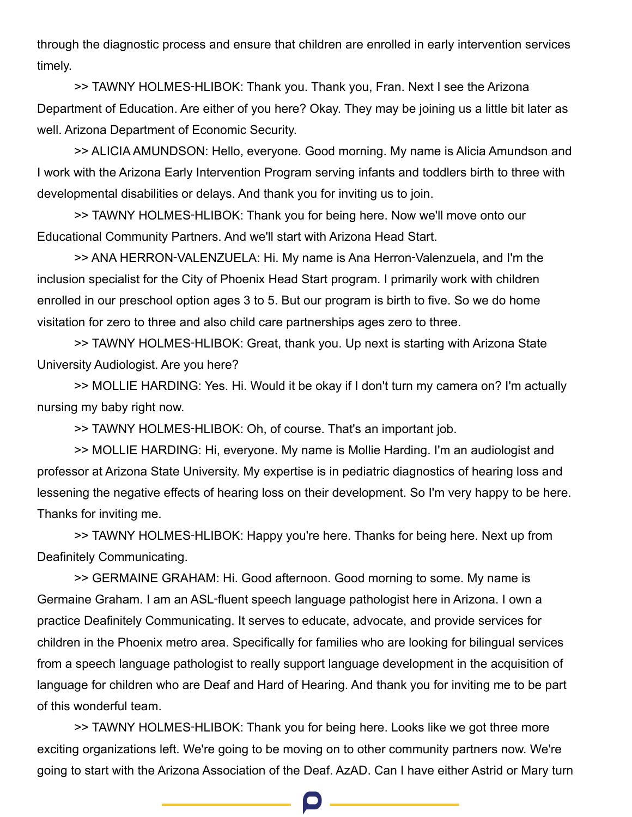through the diagnostic process and ensure that children are enrolled in early intervention services timely.

>> TAWNY HOLMES‑HLIBOK: Thank you. Thank you, Fran. Next I see the Arizona Department of Education. Are either of you here? Okay. They may be joining us a little bit later as well. Arizona Department of Economic Security.

>> ALICIA AMUNDSON: Hello, everyone. Good morning. My name is Alicia Amundson and I work with the Arizona Early Intervention Program serving infants and toddlers birth to three with developmental disabilities or delays. And thank you for inviting us to join.

>> TAWNY HOLMES‑HLIBOK: Thank you for being here. Now we'll move onto our Educational Community Partners. And we'll start with Arizona Head Start.

>> ANA HERRON‑VALENZUELA: Hi. My name is Ana Herron‑Valenzuela, and I'm the inclusion specialist for the City of Phoenix Head Start program. I primarily work with children enrolled in our preschool option ages 3 to 5. But our program is birth to five. So we do home visitation for zero to three and also child care partnerships ages zero to three.

>> TAWNY HOLMES‑HLIBOK: Great, thank you. Up next is starting with Arizona State University Audiologist. Are you here?

>> MOLLIE HARDING: Yes. Hi. Would it be okay if I don't turn my camera on? I'm actually nursing my baby right now.

>> TAWNY HOLMES‑HLIBOK: Oh, of course. That's an important job.

>> MOLLIE HARDING: Hi, everyone. My name is Mollie Harding. I'm an audiologist and professor at Arizona State University. My expertise is in pediatric diagnostics of hearing loss and lessening the negative effects of hearing loss on their development. So I'm very happy to be here. Thanks for inviting me.

>> TAWNY HOLMES‑HLIBOK: Happy you're here. Thanks for being here. Next up from Deafinitely Communicating.

>> GERMAINE GRAHAM: Hi. Good afternoon. Good morning to some. My name is Germaine Graham. I am an ASL‑fluent speech language pathologist here in Arizona. I own a practice Deafinitely Communicating. It serves to educate, advocate, and provide services for children in the Phoenix metro area. Specifically for families who are looking for bilingual services from a speech language pathologist to really support language development in the acquisition of language for children who are Deaf and Hard of Hearing. And thank you for inviting me to be part of this wonderful team.

>> TAWNY HOLMES‑HLIBOK: Thank you for being here. Looks like we got three more exciting organizations left. We're going to be moving on to other community partners now. We're going to start with the Arizona Association of the Deaf. AzAD. Can I have either Astrid or Mary turn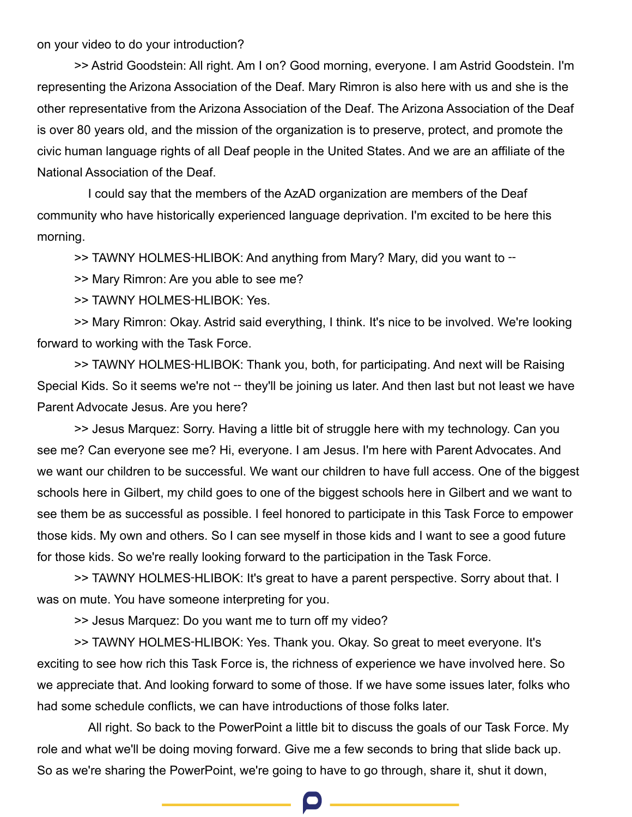on your video to do your introduction?

>> Astrid Goodstein: All right. Am I on? Good morning, everyone. I am Astrid Goodstein. I'm representing the Arizona Association of the Deaf. Mary Rimron is also here with us and she is the other representative from the Arizona Association of the Deaf. The Arizona Association of the Deaf is over 80 years old, and the mission of the organization is to preserve, protect, and promote the civic human language rights of all Deaf people in the United States. And we are an affiliate of the National Association of the Deaf.

I could say that the members of the AzAD organization are members of the Deaf community who have historically experienced language deprivation. I'm excited to be here this morning.

>> TAWNY HOLMES-HLIBOK: And anything from Mary? Mary, did you want to --

>> Mary Rimron: Are you able to see me?

>> TAWNY HOLMES‑HLIBOK: Yes.

>> Mary Rimron: Okay. Astrid said everything, I think. It's nice to be involved. We're looking forward to working with the Task Force.

>> TAWNY HOLMES‑HLIBOK: Thank you, both, for participating. And next will be Raising Special Kids. So it seems we're not – they'll be joining us later. And then last but not least we have Parent Advocate Jesus. Are you here?

>> Jesus Marquez: Sorry. Having a little bit of struggle here with my technology. Can you see me? Can everyone see me? Hi, everyone. I am Jesus. I'm here with Parent Advocates. And we want our children to be successful. We want our children to have full access. One of the biggest schools here in Gilbert, my child goes to one of the biggest schools here in Gilbert and we want to see them be as successful as possible. I feel honored to participate in this Task Force to empower those kids. My own and others. So I can see myself in those kids and I want to see a good future for those kids. So we're really looking forward to the participation in the Task Force.

>> TAWNY HOLMES-HLIBOK: It's great to have a parent perspective. Sorry about that. I was on mute. You have someone interpreting for you.

>> Jesus Marquez: Do you want me to turn off my video?

>> TAWNY HOLMES‑HLIBOK: Yes. Thank you. Okay. So great to meet everyone. It's exciting to see how rich this Task Force is, the richness of experience we have involved here. So we appreciate that. And looking forward to some of those. If we have some issues later, folks who had some schedule conflicts, we can have introductions of those folks later.

All right. So back to the PowerPoint a little bit to discuss the goals of our Task Force. My role and what we'll be doing moving forward. Give me a few seconds to bring that slide back up. So as we're sharing the PowerPoint, we're going to have to go through, share it, shut it down,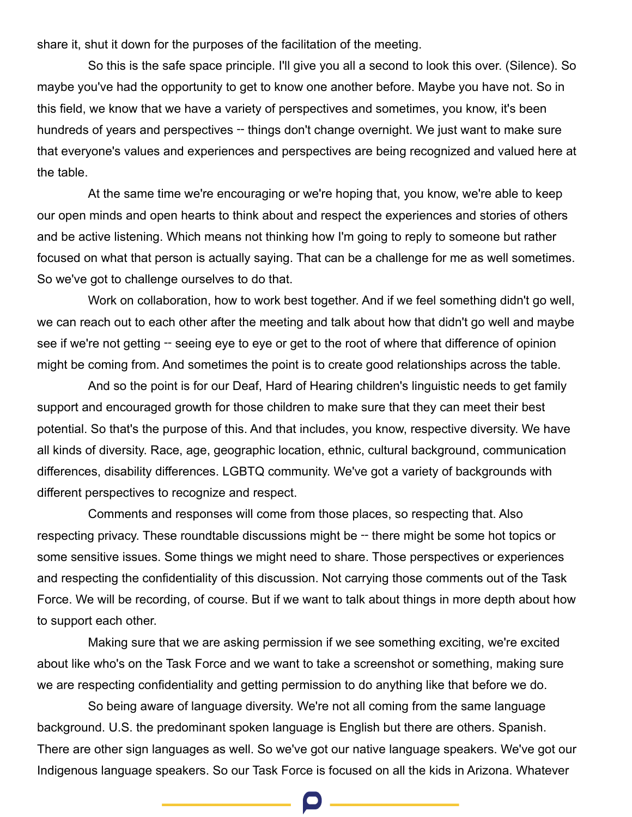share it, shut it down for the purposes of the facilitation of the meeting.

So this is the safe space principle. I'll give you all a second to look this over. (Silence). So maybe you've had the opportunity to get to know one another before. Maybe you have not. So in this field, we know that we have a variety of perspectives and sometimes, you know, it's been hundreds of years and perspectives – things don't change overnight. We just want to make sure that everyone's values and experiences and perspectives are being recognized and valued here at the table.

At the same time we're encouraging or we're hoping that, you know, we're able to keep our open minds and open hearts to think about and respect the experiences and stories of others and be active listening. Which means not thinking how I'm going to reply to someone but rather focused on what that person is actually saying. That can be a challenge for me as well sometimes. So we've got to challenge ourselves to do that.

Work on collaboration, how to work best together. And if we feel something didn't go well, we can reach out to each other after the meeting and talk about how that didn't go well and maybe see if we're not getting – seeing eye to eye or get to the root of where that difference of opinion might be coming from. And sometimes the point is to create good relationships across the table.

And so the point is for our Deaf, Hard of Hearing children's linguistic needs to get family support and encouraged growth for those children to make sure that they can meet their best potential. So that's the purpose of this. And that includes, you know, respective diversity. We have all kinds of diversity. Race, age, geographic location, ethnic, cultural background, communication differences, disability differences. LGBTQ community. We've got a variety of backgrounds with different perspectives to recognize and respect.

Comments and responses will come from those places, so respecting that. Also respecting privacy. These roundtable discussions might be -- there might be some hot topics or some sensitive issues. Some things we might need to share. Those perspectives or experiences and respecting the confidentiality of this discussion. Not carrying those comments out of the Task Force. We will be recording, of course. But if we want to talk about things in more depth about how to support each other.

Making sure that we are asking permission if we see something exciting, we're excited about like who's on the Task Force and we want to take a screenshot or something, making sure we are respecting confidentiality and getting permission to do anything like that before we do.

So being aware of language diversity. We're not all coming from the same language background. U.S. the predominant spoken language is English but there are others. Spanish. There are other sign languages as well. So we've got our native language speakers. We've got our Indigenous language speakers. So our Task Force is focused on all the kids in Arizona. Whatever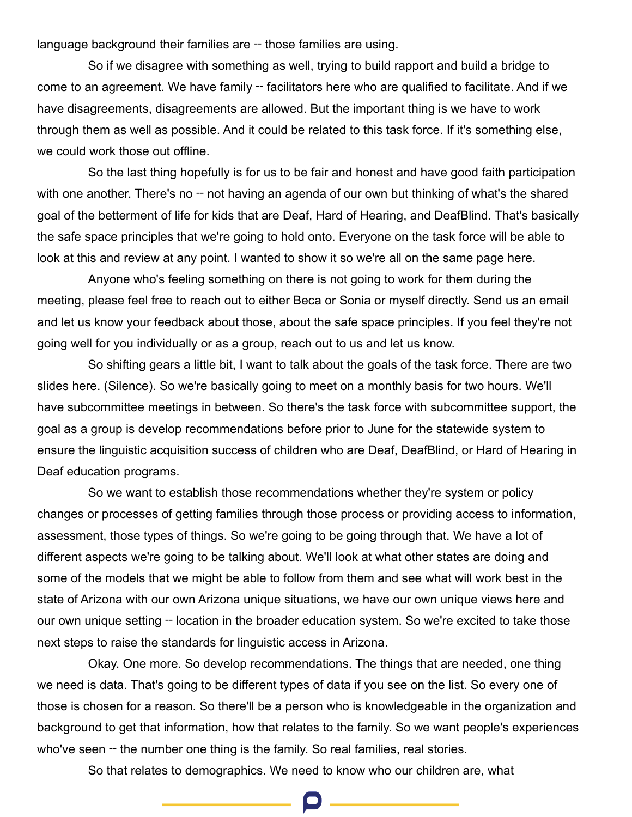language background their families are -- those families are using.

So if we disagree with something as well, trying to build rapport and build a bridge to come to an agreement. We have family – facilitators here who are qualified to facilitate. And if we have disagreements, disagreements are allowed. But the important thing is we have to work through them as well as possible. And it could be related to this task force. If it's something else, we could work those out offline.

So the last thing hopefully is for us to be fair and honest and have good faith participation with one another. There's no – not having an agenda of our own but thinking of what's the shared goal of the betterment of life for kids that are Deaf, Hard of Hearing, and DeafBlind. That's basically the safe space principles that we're going to hold onto. Everyone on the task force will be able to look at this and review at any point. I wanted to show it so we're all on the same page here.

Anyone who's feeling something on there is not going to work for them during the meeting, please feel free to reach out to either Beca or Sonia or myself directly. Send us an email and let us know your feedback about those, about the safe space principles. If you feel they're not going well for you individually or as a group, reach out to us and let us know.

So shifting gears a little bit, I want to talk about the goals of the task force. There are two slides here. (Silence). So we're basically going to meet on a monthly basis for two hours. We'll have subcommittee meetings in between. So there's the task force with subcommittee support, the goal as a group is develop recommendations before prior to June for the statewide system to ensure the linguistic acquisition success of children who are Deaf, DeafBlind, or Hard of Hearing in Deaf education programs.

So we want to establish those recommendations whether they're system or policy changes or processes of getting families through those process or providing access to information, assessment, those types of things. So we're going to be going through that. We have a lot of different aspects we're going to be talking about. We'll look at what other states are doing and some of the models that we might be able to follow from them and see what will work best in the state of Arizona with our own Arizona unique situations, we have our own unique views here and our own unique setting – location in the broader education system. So we're excited to take those next steps to raise the standards for linguistic access in Arizona.

Okay. One more. So develop recommendations. The things that are needed, one thing we need is data. That's going to be different types of data if you see on the list. So every one of those is chosen for a reason. So there'll be a person who is knowledgeable in the organization and background to get that information, how that relates to the family. So we want people's experiences who've seen -- the number one thing is the family. So real families, real stories.

So that relates to demographics. We need to know who our children are, what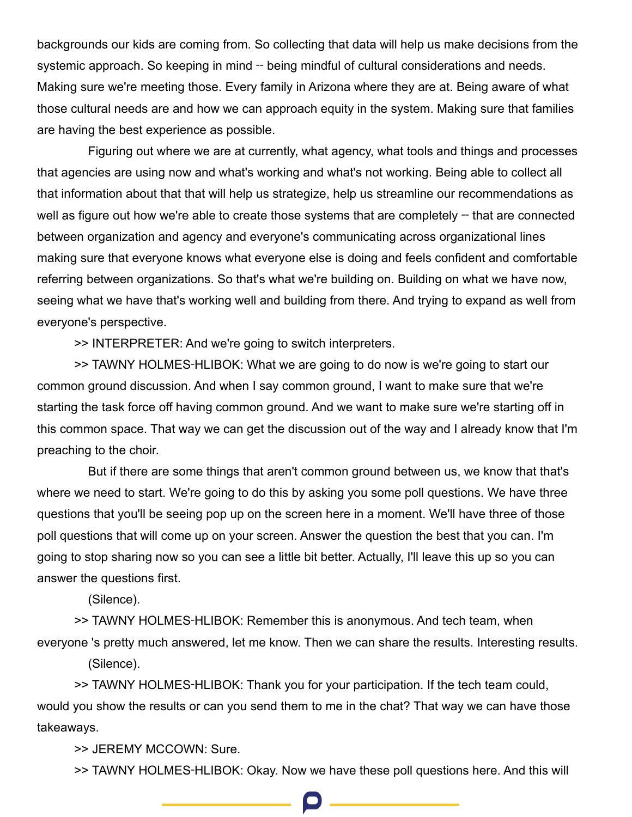backgrounds our kids are coming from. So collecting that data will help us make decisions from the systemic approach. So keeping in mind – being mindful of cultural considerations and needs. Making sure we're meeting those. Every family in Arizona where they are at. Being aware of what those cultural needs are and how we can approach equity in the system. Making sure that families are having the best experience as possible.

Figuring out where we are at currently, what agency, what tools and things and processes that agencies are using now and what's working and what's not working. Being able to collect all that information about that that will help us strategize, help us streamline our recommendations as well as figure out how we're able to create those systems that are completely -- that are connected between organization and agency and everyone's communicating across organizational lines making sure that everyone knows what everyone else is doing and feels confident and comfortable referring between organizations. So that's what we're building on. Building on what we have now, seeing what we have that's working well and building from there. And trying to expand as well from everyone's perspective.

>> INTERPRETER: And we're going to switch interpreters.

>> TAWNY HOLMES‑HLIBOK: What we are going to do now is we're going to start our common ground discussion. And when I say common ground, I want to make sure that we're starting the task force off having common ground. And we want to make sure we're starting off in this common space. That way we can get the discussion out of the way and I already know that I'm preaching to the choir.

But if there are some things that aren't common ground between us, we know that that's where we need to start. We're going to do this by asking you some poll questions. We have three questions that you'll be seeing pop up on the screen here in a moment. We'll have three of those poll questions that will come up on your screen. Answer the question the best that you can. I'm going to stop sharing now so you can see a little bit better. Actually, I'll leave this up so you can answer the questions first.

(Silence).

>> TAWNY HOLMES‑HLIBOK: Remember this is anonymous. And tech team, when everyone 's pretty much answered, let me know. Then we can share the results. Interesting results.

(Silence).

>> TAWNY HOLMES‑HLIBOK: Thank you for your participation. If the tech team could, would you show the results or can you send them to me in the chat? That way we can have those takeaways.

>> JEREMY MCCOWN: Sure.

>> TAWNY HOLMES‑HLIBOK: Okay. Now we have these poll questions here. And this will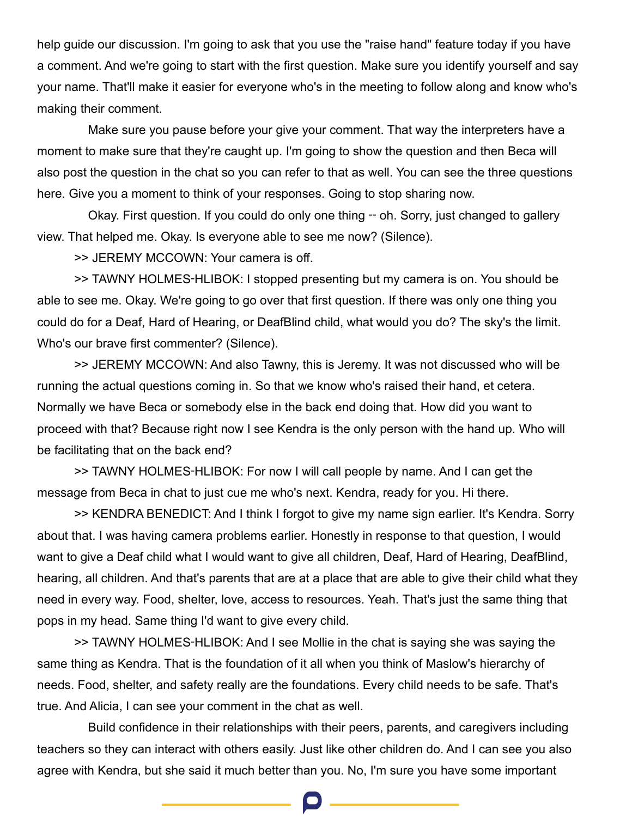help guide our discussion. I'm going to ask that you use the "raise hand" feature today if you have a comment. And we're going to start with the first question. Make sure you identify yourself and say your name. That'll make it easier for everyone who's in the meeting to follow along and know who's making their comment.

Make sure you pause before your give your comment. That way the interpreters have a moment to make sure that they're caught up. I'm going to show the question and then Beca will also post the question in the chat so you can refer to that as well. You can see the three questions here. Give you a moment to think of your responses. Going to stop sharing now.

Okay. First question. If you could do only one thing -- oh. Sorry, just changed to gallery view. That helped me. Okay. Is everyone able to see me now? (Silence).

>> JEREMY MCCOWN: Your camera is off.

>> TAWNY HOLMES‑HLIBOK: I stopped presenting but my camera is on. You should be able to see me. Okay. We're going to go over that first question. If there was only one thing you could do for a Deaf, Hard of Hearing, or DeafBlind child, what would you do? The sky's the limit. Who's our brave first commenter? (Silence).

>> JEREMY MCCOWN: And also Tawny, this is Jeremy. It was not discussed who will be running the actual questions coming in. So that we know who's raised their hand, et cetera. Normally we have Beca or somebody else in the back end doing that. How did you want to proceed with that? Because right now I see Kendra is the only person with the hand up. Who will be facilitating that on the back end?

>> TAWNY HOLMES‑HLIBOK: For now I will call people by name. And I can get the message from Beca in chat to just cue me who's next. Kendra, ready for you. Hi there.

>> KENDRA BENEDICT: And I think I forgot to give my name sign earlier. It's Kendra. Sorry about that. I was having camera problems earlier. Honestly in response to that question, I would want to give a Deaf child what I would want to give all children, Deaf, Hard of Hearing, DeafBlind, hearing, all children. And that's parents that are at a place that are able to give their child what they need in every way. Food, shelter, love, access to resources. Yeah. That's just the same thing that pops in my head. Same thing I'd want to give every child.

>> TAWNY HOLMES‑HLIBOK: And I see Mollie in the chat is saying she was saying the same thing as Kendra. That is the foundation of it all when you think of Maslow's hierarchy of needs. Food, shelter, and safety really are the foundations. Every child needs to be safe. That's true. And Alicia, I can see your comment in the chat as well.

Build confidence in their relationships with their peers, parents, and caregivers including teachers so they can interact with others easily. Just like other children do. And I can see you also agree with Kendra, but she said it much better than you. No, I'm sure you have some important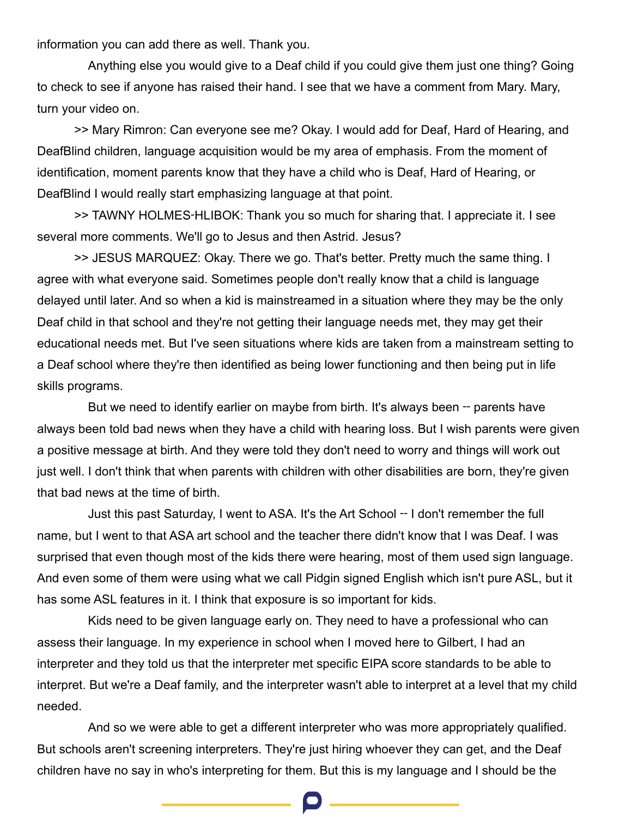information you can add there as well. Thank you.

Anything else you would give to a Deaf child if you could give them just one thing? Going to check to see if anyone has raised their hand. I see that we have a comment from Mary. Mary, turn your video on.

>> Mary Rimron: Can everyone see me? Okay. I would add for Deaf, Hard of Hearing, and DeafBlind children, language acquisition would be my area of emphasis. From the moment of identification, moment parents know that they have a child who is Deaf, Hard of Hearing, or DeafBlind I would really start emphasizing language at that point.

>> TAWNY HOLMES‑HLIBOK: Thank you so much for sharing that. I appreciate it. I see several more comments. We'll go to Jesus and then Astrid. Jesus?

>> JESUS MARQUEZ: Okay. There we go. That's better. Pretty much the same thing. I agree with what everyone said. Sometimes people don't really know that a child is language delayed until later. And so when a kid is mainstreamed in a situation where they may be the only Deaf child in that school and they're not getting their language needs met, they may get their educational needs met. But I've seen situations where kids are taken from a mainstream setting to a Deaf school where they're then identified as being lower functioning and then being put in life skills programs.

But we need to identify earlier on maybe from birth. It's always been -- parents have always been told bad news when they have a child with hearing loss. But I wish parents were given a positive message at birth. And they were told they don't need to worry and things will work out just well. I don't think that when parents with children with other disabilities are born, they're given that bad news at the time of birth.

Just this past Saturday, I went to ASA. It's the Art School ‑‑ I don't remember the full name, but I went to that ASA art school and the teacher there didn't know that I was Deaf. I was surprised that even though most of the kids there were hearing, most of them used sign language. And even some of them were using what we call Pidgin signed English which isn't pure ASL, but it has some ASL features in it. I think that exposure is so important for kids.

Kids need to be given language early on. They need to have a professional who can assess their language. In my experience in school when I moved here to Gilbert, I had an interpreter and they told us that the interpreter met specific EIPA score standards to be able to interpret. But we're a Deaf family, and the interpreter wasn't able to interpret at a level that my child needed.

And so we were able to get a different interpreter who was more appropriately qualified. But schools aren't screening interpreters. They're just hiring whoever they can get, and the Deaf children have no say in who's interpreting for them. But this is my language and I should be the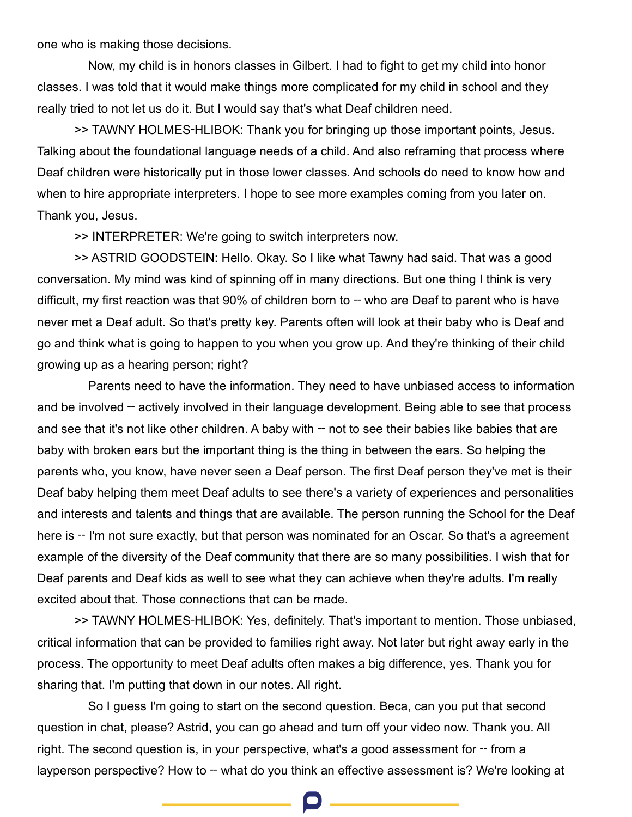one who is making those decisions.

Now, my child is in honors classes in Gilbert. I had to fight to get my child into honor classes. I was told that it would make things more complicated for my child in school and they really tried to not let us do it. But I would say that's what Deaf children need.

>> TAWNY HOLMES‑HLIBOK: Thank you for bringing up those important points, Jesus. Talking about the foundational language needs of a child. And also reframing that process where Deaf children were historically put in those lower classes. And schools do need to know how and when to hire appropriate interpreters. I hope to see more examples coming from you later on. Thank you, Jesus.

>> INTERPRETER: We're going to switch interpreters now.

>> ASTRID GOODSTEIN: Hello. Okay. So I like what Tawny had said. That was a good conversation. My mind was kind of spinning off in many directions. But one thing I think is very difficult, my first reaction was that 90% of children born to -- who are Deaf to parent who is have never met a Deaf adult. So that's pretty key. Parents often will look at their baby who is Deaf and go and think what is going to happen to you when you grow up. And they're thinking of their child growing up as a hearing person; right?

Parents need to have the information. They need to have unbiased access to information and be involved – actively involved in their language development. Being able to see that process and see that it's not like other children. A baby with – not to see their babies like babies that are baby with broken ears but the important thing is the thing in between the ears. So helping the parents who, you know, have never seen a Deaf person. The first Deaf person they've met is their Deaf baby helping them meet Deaf adults to see there's a variety of experiences and personalities and interests and talents and things that are available. The person running the School for the Deaf here is -- I'm not sure exactly, but that person was nominated for an Oscar. So that's a agreement example of the diversity of the Deaf community that there are so many possibilities. I wish that for Deaf parents and Deaf kids as well to see what they can achieve when they're adults. I'm really excited about that. Those connections that can be made.

>> TAWNY HOLMES‑HLIBOK: Yes, definitely. That's important to mention. Those unbiased, critical information that can be provided to families right away. Not later but right away early in the process. The opportunity to meet Deaf adults often makes a big difference, yes. Thank you for sharing that. I'm putting that down in our notes. All right.

So I guess I'm going to start on the second question. Beca, can you put that second question in chat, please? Astrid, you can go ahead and turn off your video now. Thank you. All right. The second question is, in your perspective, what's a good assessment for -- from a layperson perspective? How to -- what do you think an effective assessment is? We're looking at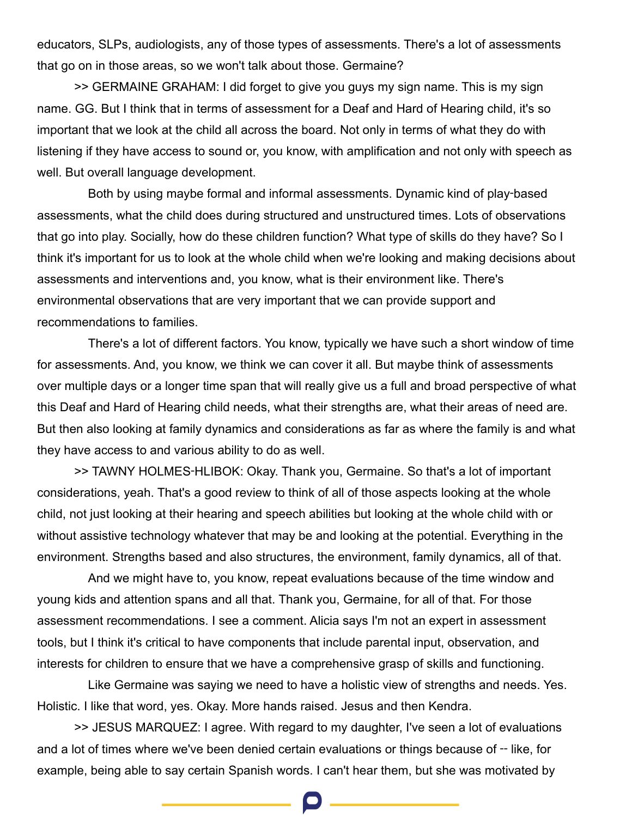educators, SLPs, audiologists, any of those types of assessments. There's a lot of assessments that go on in those areas, so we won't talk about those. Germaine?

>> GERMAINE GRAHAM: I did forget to give you guys my sign name. This is my sign name. GG. But I think that in terms of assessment for a Deaf and Hard of Hearing child, it's so important that we look at the child all across the board. Not only in terms of what they do with listening if they have access to sound or, you know, with amplification and not only with speech as well. But overall language development.

Both by using maybe formal and informal assessments. Dynamic kind of play-based assessments, what the child does during structured and unstructured times. Lots of observations that go into play. Socially, how do these children function? What type of skills do they have? So I think it's important for us to look at the whole child when we're looking and making decisions about assessments and interventions and, you know, what is their environment like. There's environmental observations that are very important that we can provide support and recommendations to families.

There's a lot of different factors. You know, typically we have such a short window of time for assessments. And, you know, we think we can cover it all. But maybe think of assessments over multiple days or a longer time span that will really give us a full and broad perspective of what this Deaf and Hard of Hearing child needs, what their strengths are, what their areas of need are. But then also looking at family dynamics and considerations as far as where the family is and what they have access to and various ability to do as well.

>> TAWNY HOLMES‑HLIBOK: Okay. Thank you, Germaine. So that's a lot of important considerations, yeah. That's a good review to think of all of those aspects looking at the whole child, not just looking at their hearing and speech abilities but looking at the whole child with or without assistive technology whatever that may be and looking at the potential. Everything in the environment. Strengths based and also structures, the environment, family dynamics, all of that.

And we might have to, you know, repeat evaluations because of the time window and young kids and attention spans and all that. Thank you, Germaine, for all of that. For those assessment recommendations. I see a comment. Alicia says I'm not an expert in assessment tools, but I think it's critical to have components that include parental input, observation, and interests for children to ensure that we have a comprehensive grasp of skills and functioning.

Like Germaine was saying we need to have a holistic view of strengths and needs. Yes. Holistic. I like that word, yes. Okay. More hands raised. Jesus and then Kendra.

>> JESUS MARQUEZ: I agree. With regard to my daughter, I've seen a lot of evaluations and a lot of times where we've been denied certain evaluations or things because of -- like, for example, being able to say certain Spanish words. I can't hear them, but she was motivated by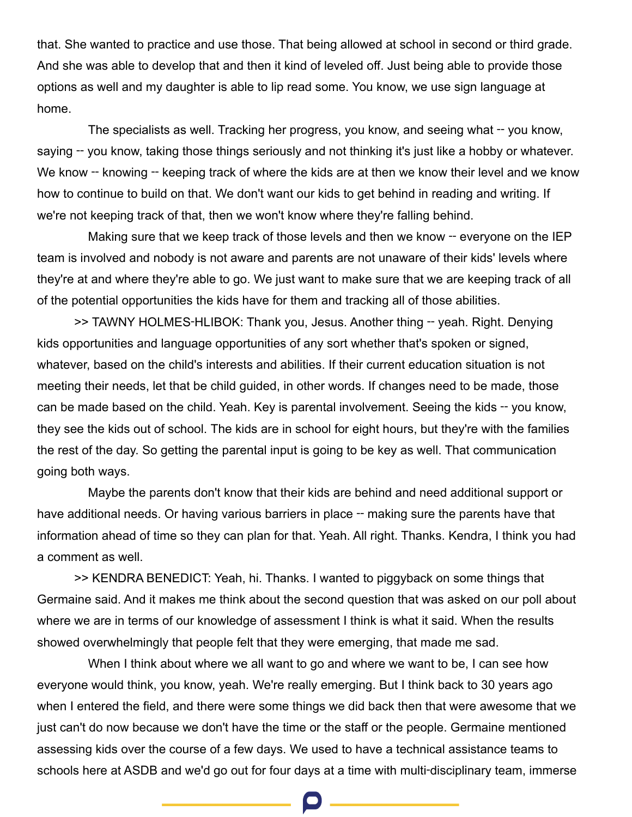that. She wanted to practice and use those. That being allowed at school in second or third grade. And she was able to develop that and then it kind of leveled off. Just being able to provide those options as well and my daughter is able to lip read some. You know, we use sign language at home.

The specialists as well. Tracking her progress, you know, and seeing what – you know, saying – you know, taking those things seriously and not thinking it's just like a hobby or whatever. We know – knowing – keeping track of where the kids are at then we know their level and we know how to continue to build on that. We don't want our kids to get behind in reading and writing. If we're not keeping track of that, then we won't know where they're falling behind.

Making sure that we keep track of those levels and then we know -- everyone on the IEP team is involved and nobody is not aware and parents are not unaware of their kids' levels where they're at and where they're able to go. We just want to make sure that we are keeping track of all of the potential opportunities the kids have for them and tracking all of those abilities.

>> TAWNY HOLMES-HLIBOK: Thank you, Jesus. Another thing -- yeah. Right. Denying kids opportunities and language opportunities of any sort whether that's spoken or signed, whatever, based on the child's interests and abilities. If their current education situation is not meeting their needs, let that be child guided, in other words. If changes need to be made, those can be made based on the child. Yeah. Key is parental involvement. Seeing the kids -- you know, they see the kids out of school. The kids are in school for eight hours, but they're with the families the rest of the day. So getting the parental input is going to be key as well. That communication going both ways.

Maybe the parents don't know that their kids are behind and need additional support or have additional needs. Or having various barriers in place – making sure the parents have that information ahead of time so they can plan for that. Yeah. All right. Thanks. Kendra, I think you had a comment as well.

>> KENDRA BENEDICT: Yeah, hi. Thanks. I wanted to piggyback on some things that Germaine said. And it makes me think about the second question that was asked on our poll about where we are in terms of our knowledge of assessment I think is what it said. When the results showed overwhelmingly that people felt that they were emerging, that made me sad.

When I think about where we all want to go and where we want to be, I can see how everyone would think, you know, yeah. We're really emerging. But I think back to 30 years ago when I entered the field, and there were some things we did back then that were awesome that we just can't do now because we don't have the time or the staff or the people. Germaine mentioned assessing kids over the course of a few days. We used to have a technical assistance teams to schools here at ASDB and we'd go out for four days at a time with multi-disciplinary team, immerse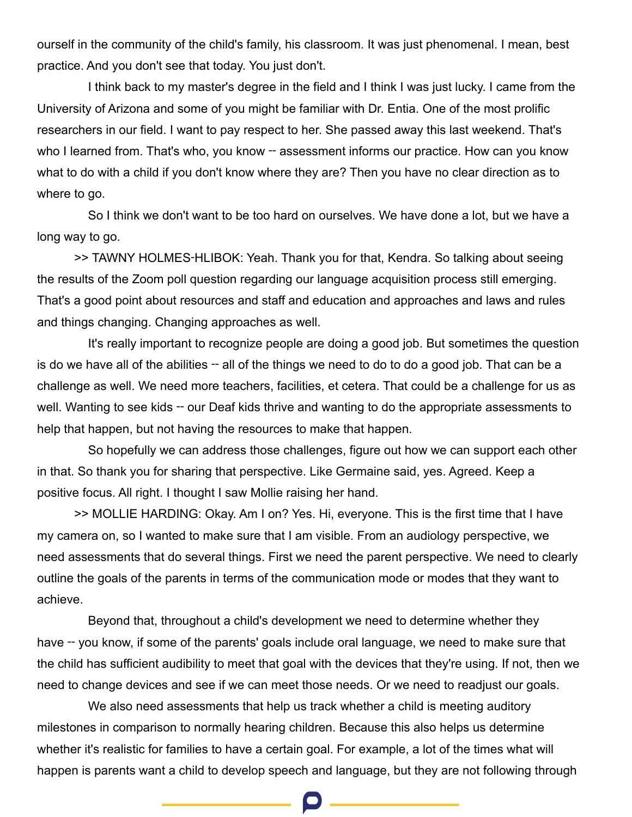ourself in the community of the child's family, his classroom. It was just phenomenal. I mean, best practice. And you don't see that today. You just don't.

I think back to my master's degree in the field and I think I was just lucky. I came from the University of Arizona and some of you might be familiar with Dr. Entia. One of the most prolific researchers in our field. I want to pay respect to her. She passed away this last weekend. That's who I learned from. That's who, you know -- assessment informs our practice. How can you know what to do with a child if you don't know where they are? Then you have no clear direction as to where to go.

So I think we don't want to be too hard on ourselves. We have done a lot, but we have a long way to go.

>> TAWNY HOLMES-HLIBOK: Yeah. Thank you for that, Kendra. So talking about seeing the results of the Zoom poll question regarding our language acquisition process still emerging. That's a good point about resources and staff and education and approaches and laws and rules and things changing. Changing approaches as well.

It's really important to recognize people are doing a good job. But sometimes the question is do we have all of the abilities – all of the things we need to do to do a good job. That can be a challenge as well. We need more teachers, facilities, et cetera. That could be a challenge for us as well. Wanting to see kids -- our Deaf kids thrive and wanting to do the appropriate assessments to help that happen, but not having the resources to make that happen.

So hopefully we can address those challenges, figure out how we can support each other in that. So thank you for sharing that perspective. Like Germaine said, yes. Agreed. Keep a positive focus. All right. I thought I saw Mollie raising her hand.

>> MOLLIE HARDING: Okay. Am I on? Yes. Hi, everyone. This is the first time that I have my camera on, so I wanted to make sure that I am visible. From an audiology perspective, we need assessments that do several things. First we need the parent perspective. We need to clearly outline the goals of the parents in terms of the communication mode or modes that they want to achieve.

Beyond that, throughout a child's development we need to determine whether they have -- you know, if some of the parents' goals include oral language, we need to make sure that the child has sufficient audibility to meet that goal with the devices that they're using. If not, then we need to change devices and see if we can meet those needs. Or we need to readjust our goals.

We also need assessments that help us track whether a child is meeting auditory milestones in comparison to normally hearing children. Because this also helps us determine whether it's realistic for families to have a certain goal. For example, a lot of the times what will happen is parents want a child to develop speech and language, but they are not following through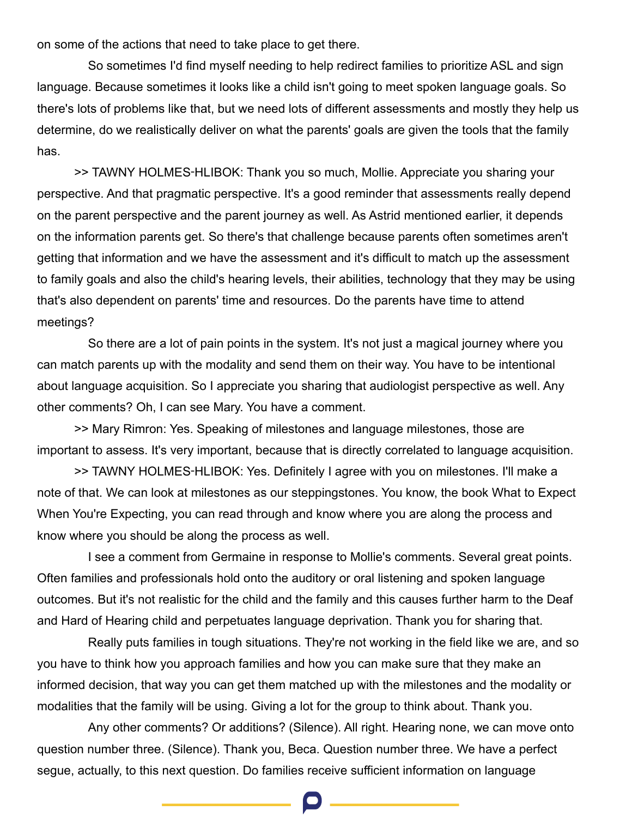on some of the actions that need to take place to get there.

So sometimes I'd find myself needing to help redirect families to prioritize ASL and sign language. Because sometimes it looks like a child isn't going to meet spoken language goals. So there's lots of problems like that, but we need lots of different assessments and mostly they help us determine, do we realistically deliver on what the parents' goals are given the tools that the family has.

>> TAWNY HOLMES‑HLIBOK: Thank you so much, Mollie. Appreciate you sharing your perspective. And that pragmatic perspective. It's a good reminder that assessments really depend on the parent perspective and the parent journey as well. As Astrid mentioned earlier, it depends on the information parents get. So there's that challenge because parents often sometimes aren't getting that information and we have the assessment and it's difficult to match up the assessment to family goals and also the child's hearing levels, their abilities, technology that they may be using that's also dependent on parents' time and resources. Do the parents have time to attend meetings?

So there are a lot of pain points in the system. It's not just a magical journey where you can match parents up with the modality and send them on their way. You have to be intentional about language acquisition. So I appreciate you sharing that audiologist perspective as well. Any other comments? Oh, I can see Mary. You have a comment.

>> Mary Rimron: Yes. Speaking of milestones and language milestones, those are important to assess. It's very important, because that is directly correlated to language acquisition.

>> TAWNY HOLMES‑HLIBOK: Yes. Definitely I agree with you on milestones. I'll make a note of that. We can look at milestones as our steppingstones. You know, the book What to Expect When You're Expecting, you can read through and know where you are along the process and know where you should be along the process as well.

I see a comment from Germaine in response to Mollie's comments. Several great points. Often families and professionals hold onto the auditory or oral listening and spoken language outcomes. But it's not realistic for the child and the family and this causes further harm to the Deaf and Hard of Hearing child and perpetuates language deprivation. Thank you for sharing that.

Really puts families in tough situations. They're not working in the field like we are, and so you have to think how you approach families and how you can make sure that they make an informed decision, that way you can get them matched up with the milestones and the modality or modalities that the family will be using. Giving a lot for the group to think about. Thank you.

Any other comments? Or additions? (Silence). All right. Hearing none, we can move onto question number three. (Silence). Thank you, Beca. Question number three. We have a perfect segue, actually, to this next question. Do families receive sufficient information on language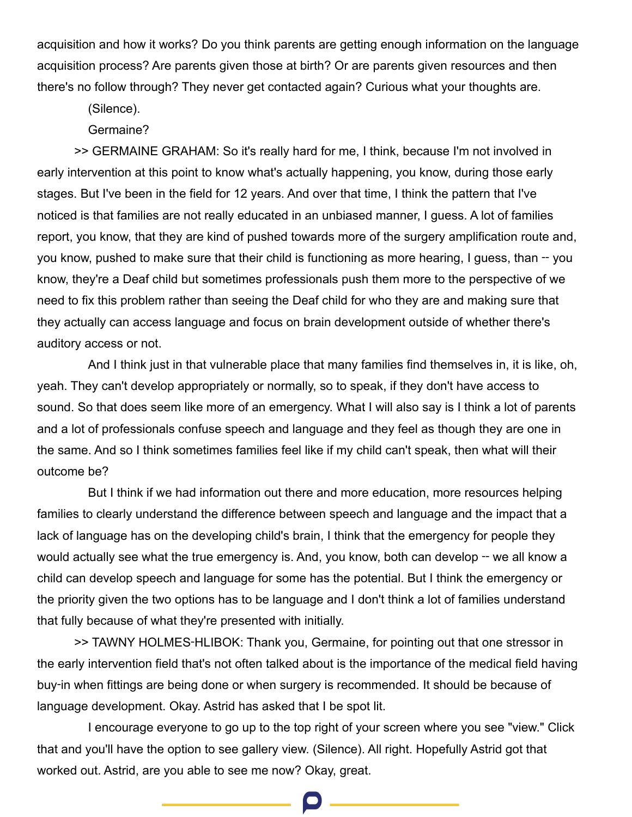acquisition and how it works? Do you think parents are getting enough information on the language acquisition process? Are parents given those at birth? Or are parents given resources and then there's no follow through? They never get contacted again? Curious what your thoughts are.

(Silence).

Germaine?

>> GERMAINE GRAHAM: So it's really hard for me, I think, because I'm not involved in early intervention at this point to know what's actually happening, you know, during those early stages. But I've been in the field for 12 years. And over that time, I think the pattern that I've noticed is that families are not really educated in an unbiased manner, I guess. A lot of families report, you know, that they are kind of pushed towards more of the surgery amplification route and, you know, pushed to make sure that their child is functioning as more hearing, I guess, than -- you know, they're a Deaf child but sometimes professionals push them more to the perspective of we need to fix this problem rather than seeing the Deaf child for who they are and making sure that they actually can access language and focus on brain development outside of whether there's auditory access or not.

And I think just in that vulnerable place that many families find themselves in, it is like, oh, yeah. They can't develop appropriately or normally, so to speak, if they don't have access to sound. So that does seem like more of an emergency. What I will also say is I think a lot of parents and a lot of professionals confuse speech and language and they feel as though they are one in the same. And so I think sometimes families feel like if my child can't speak, then what will their outcome be?

But I think if we had information out there and more education, more resources helping families to clearly understand the difference between speech and language and the impact that a lack of language has on the developing child's brain, I think that the emergency for people they would actually see what the true emergency is. And, you know, both can develop -- we all know a child can develop speech and language for some has the potential. But I think the emergency or the priority given the two options has to be language and I don't think a lot of families understand that fully because of what they're presented with initially.

>> TAWNY HOLMES‑HLIBOK: Thank you, Germaine, for pointing out that one stressor in the early intervention field that's not often talked about is the importance of the medical field having buy‑in when fittings are being done or when surgery is recommended. It should be because of language development. Okay. Astrid has asked that I be spot lit.

I encourage everyone to go up to the top right of your screen where you see "view." Click that and you'll have the option to see gallery view. (Silence). All right. Hopefully Astrid got that worked out. Astrid, are you able to see me now? Okay, great.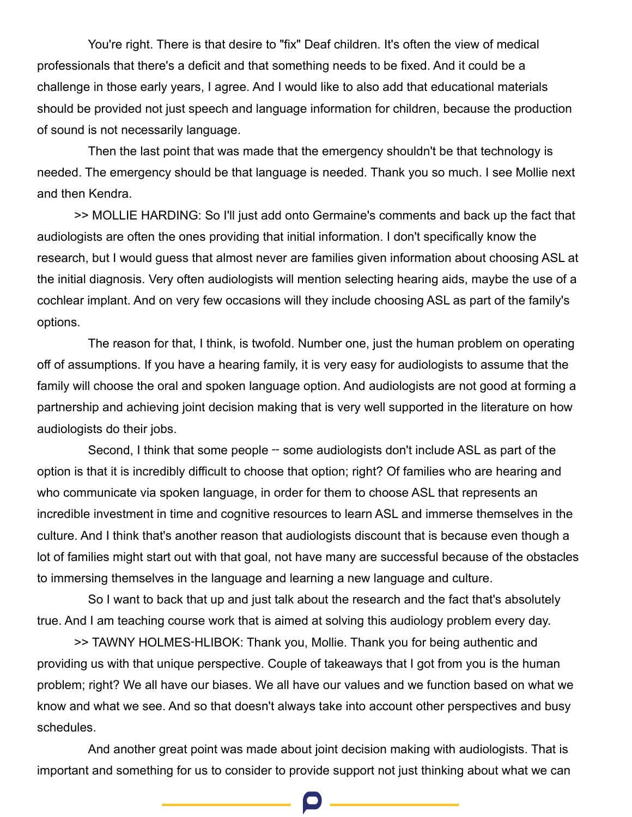You're right. There is that desire to "fix" Deaf children. It's often the view of medical professionals that there's a deficit and that something needs to be fixed. And it could be a challenge in those early years, I agree. And I would like to also add that educational materials should be provided not just speech and language information for children, because the production of sound is not necessarily language.

Then the last point that was made that the emergency shouldn't be that technology is needed. The emergency should be that language is needed. Thank you so much. I see Mollie next and then Kendra.

>> MOLLIE HARDING: So I'll just add onto Germaine's comments and back up the fact that audiologists are often the ones providing that initial information. I don't specifically know the research, but I would guess that almost never are families given information about choosing ASL at the initial diagnosis. Very often audiologists will mention selecting hearing aids, maybe the use of a cochlear implant. And on very few occasions will they include choosing ASL as part of the family's options.

The reason for that, I think, is twofold. Number one, just the human problem on operating off of assumptions. If you have a hearing family, it is very easy for audiologists to assume that the family will choose the oral and spoken language option. And audiologists are not good at forming a partnership and achieving joint decision making that is very well supported in the literature on how audiologists do their jobs.

Second, I think that some people – some audiologists don't include ASL as part of the option is that it is incredibly difficult to choose that option; right? Of families who are hearing and who communicate via spoken language, in order for them to choose ASL that represents an incredible investment in time and cognitive resources to learn ASL and immerse themselves in the culture. And I think that's another reason that audiologists discount that is because even though a lot of families might start out with that goal, not have many are successful because of the obstacles to immersing themselves in the language and learning a new language and culture.

So I want to back that up and just talk about the research and the fact that's absolutely true. And I am teaching course work that is aimed at solving this audiology problem every day.

>> TAWNY HOLMES‑HLIBOK: Thank you, Mollie. Thank you for being authentic and providing us with that unique perspective. Couple of takeaways that I got from you is the human problem; right? We all have our biases. We all have our values and we function based on what we know and what we see. And so that doesn't always take into account other perspectives and busy schedules.

And another great point was made about joint decision making with audiologists. That is important and something for us to consider to provide support not just thinking about what we can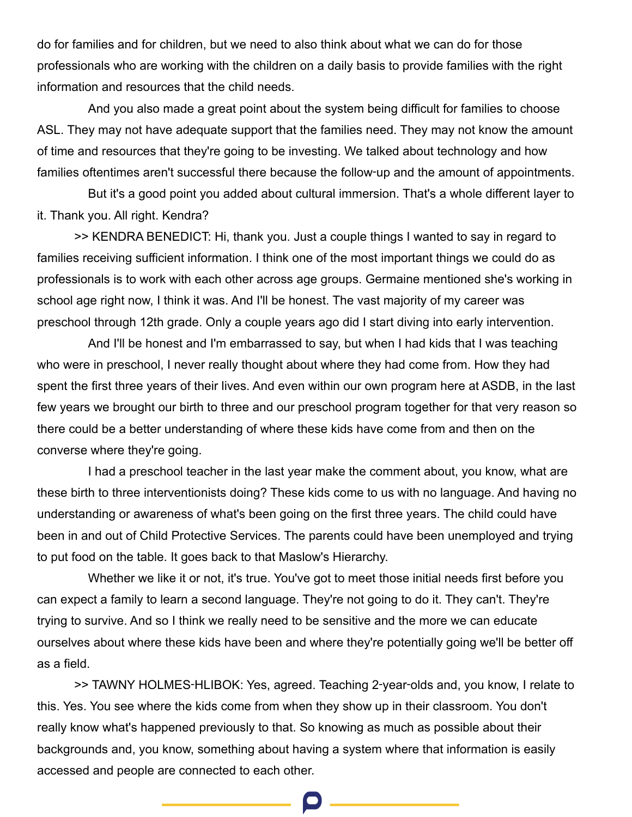do for families and for children, but we need to also think about what we can do for those professionals who are working with the children on a daily basis to provide families with the right information and resources that the child needs.

And you also made a great point about the system being difficult for families to choose ASL. They may not have adequate support that the families need. They may not know the amount of time and resources that they're going to be investing. We talked about technology and how families oftentimes aren't successful there because the follow-up and the amount of appointments.

But it's a good point you added about cultural immersion. That's a whole different layer to it. Thank you. All right. Kendra?

>> KENDRA BENEDICT: Hi, thank you. Just a couple things I wanted to say in regard to families receiving sufficient information. I think one of the most important things we could do as professionals is to work with each other across age groups. Germaine mentioned she's working in school age right now, I think it was. And I'll be honest. The vast majority of my career was preschool through 12th grade. Only a couple years ago did I start diving into early intervention.

And I'll be honest and I'm embarrassed to say, but when I had kids that I was teaching who were in preschool, I never really thought about where they had come from. How they had spent the first three years of their lives. And even within our own program here at ASDB, in the last few years we brought our birth to three and our preschool program together for that very reason so there could be a better understanding of where these kids have come from and then on the converse where they're going.

I had a preschool teacher in the last year make the comment about, you know, what are these birth to three interventionists doing? These kids come to us with no language. And having no understanding or awareness of what's been going on the first three years. The child could have been in and out of Child Protective Services. The parents could have been unemployed and trying to put food on the table. It goes back to that Maslow's Hierarchy.

Whether we like it or not, it's true. You've got to meet those initial needs first before you can expect a family to learn a second language. They're not going to do it. They can't. They're trying to survive. And so I think we really need to be sensitive and the more we can educate ourselves about where these kids have been and where they're potentially going we'll be better off as a field.

>> TAWNY HOLMES‑HLIBOK: Yes, agreed. Teaching 2‑year‑olds and, you know, I relate to this. Yes. You see where the kids come from when they show up in their classroom. You don't really know what's happened previously to that. So knowing as much as possible about their backgrounds and, you know, something about having a system where that information is easily accessed and people are connected to each other.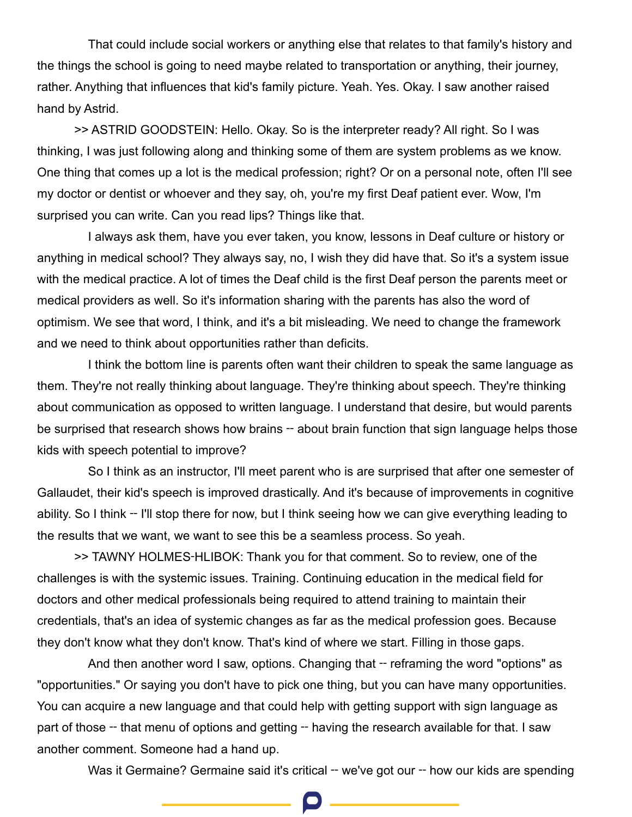That could include social workers or anything else that relates to that family's history and the things the school is going to need maybe related to transportation or anything, their journey, rather. Anything that influences that kid's family picture. Yeah. Yes. Okay. I saw another raised hand by Astrid.

>> ASTRID GOODSTEIN: Hello. Okay. So is the interpreter ready? All right. So I was thinking, I was just following along and thinking some of them are system problems as we know. One thing that comes up a lot is the medical profession; right? Or on a personal note, often I'll see my doctor or dentist or whoever and they say, oh, you're my first Deaf patient ever. Wow, I'm surprised you can write. Can you read lips? Things like that.

I always ask them, have you ever taken, you know, lessons in Deaf culture or history or anything in medical school? They always say, no, I wish they did have that. So it's a system issue with the medical practice. A lot of times the Deaf child is the first Deaf person the parents meet or medical providers as well. So it's information sharing with the parents has also the word of optimism. We see that word, I think, and it's a bit misleading. We need to change the framework and we need to think about opportunities rather than deficits.

I think the bottom line is parents often want their children to speak the same language as them. They're not really thinking about language. They're thinking about speech. They're thinking about communication as opposed to written language. I understand that desire, but would parents be surprised that research shows how brains -- about brain function that sign language helps those kids with speech potential to improve?

So I think as an instructor, I'll meet parent who is are surprised that after one semester of Gallaudet, their kid's speech is improved drastically. And it's because of improvements in cognitive ability. So I think – I'll stop there for now, but I think seeing how we can give everything leading to the results that we want, we want to see this be a seamless process. So yeah.

>> TAWNY HOLMES‑HLIBOK: Thank you for that comment. So to review, one of the challenges is with the systemic issues. Training. Continuing education in the medical field for doctors and other medical professionals being required to attend training to maintain their credentials, that's an idea of systemic changes as far as the medical profession goes. Because they don't know what they don't know. That's kind of where we start. Filling in those gaps.

And then another word I saw, options. Changing that – reframing the word "options" as "opportunities." Or saying you don't have to pick one thing, but you can have many opportunities. You can acquire a new language and that could help with getting support with sign language as part of those – that menu of options and getting – having the research available for that. I saw another comment. Someone had a hand up.

Was it Germaine? Germaine said it's critical -- we've got our -- how our kids are spending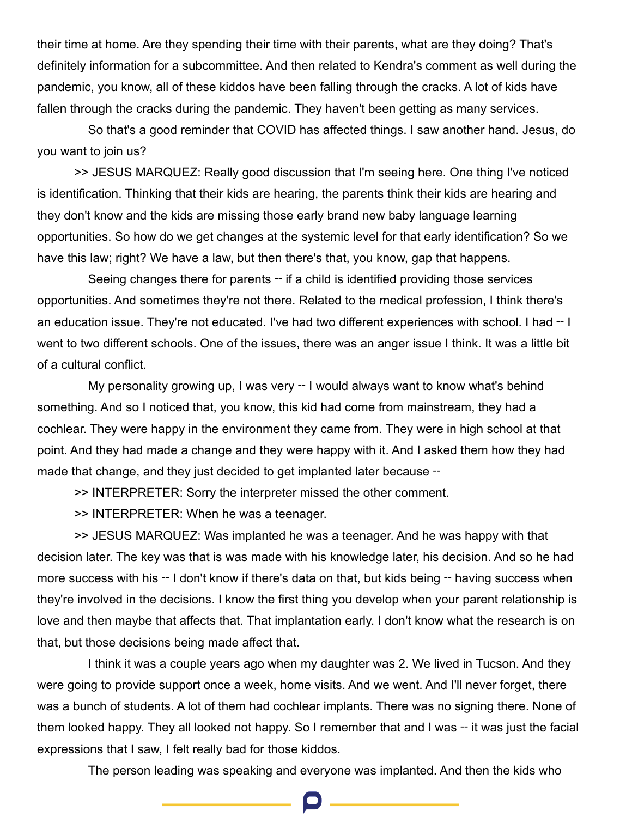their time at home. Are they spending their time with their parents, what are they doing? That's definitely information for a subcommittee. And then related to Kendra's comment as well during the pandemic, you know, all of these kiddos have been falling through the cracks. A lot of kids have fallen through the cracks during the pandemic. They haven't been getting as many services.

So that's a good reminder that COVID has affected things. I saw another hand. Jesus, do you want to join us?

>> JESUS MARQUEZ: Really good discussion that I'm seeing here. One thing I've noticed is identification. Thinking that their kids are hearing, the parents think their kids are hearing and they don't know and the kids are missing those early brand new baby language learning opportunities. So how do we get changes at the systemic level for that early identification? So we have this law; right? We have a law, but then there's that, you know, gap that happens.

Seeing changes there for parents – if a child is identified providing those services opportunities. And sometimes they're not there. Related to the medical profession, I think there's an education issue. They're not educated. I've had two different experiences with school. I had -- I went to two different schools. One of the issues, there was an anger issue I think. It was a little bit of a cultural conflict.

My personality growing up, I was very -- I would always want to know what's behind something. And so I noticed that, you know, this kid had come from mainstream, they had a cochlear. They were happy in the environment they came from. They were in high school at that point. And they had made a change and they were happy with it. And I asked them how they had made that change, and they just decided to get implanted later because –

>> INTERPRETER: Sorry the interpreter missed the other comment.

>> INTERPRETER: When he was a teenager.

>> JESUS MARQUEZ: Was implanted he was a teenager. And he was happy with that decision later. The key was that is was made with his knowledge later, his decision. And so he had more success with his -- I don't know if there's data on that, but kids being -- having success when they're involved in the decisions. I know the first thing you develop when your parent relationship is love and then maybe that affects that. That implantation early. I don't know what the research is on that, but those decisions being made affect that.

I think it was a couple years ago when my daughter was 2. We lived in Tucson. And they were going to provide support once a week, home visits. And we went. And I'll never forget, there was a bunch of students. A lot of them had cochlear implants. There was no signing there. None of them looked happy. They all looked not happy. So I remember that and I was -- it was just the facial expressions that I saw, I felt really bad for those kiddos.

The person leading was speaking and everyone was implanted. And then the kids who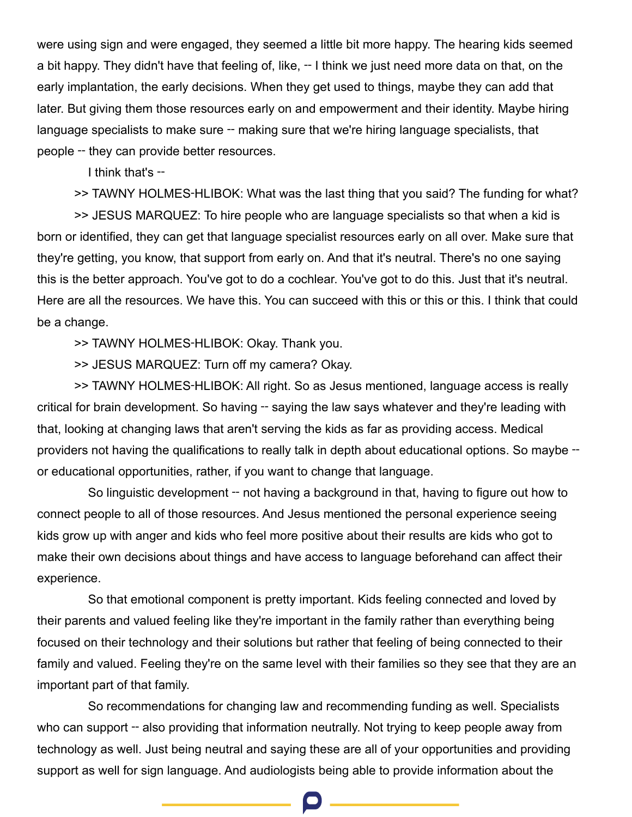were using sign and were engaged, they seemed a little bit more happy. The hearing kids seemed a bit happy. They didn't have that feeling of, like, -- I think we just need more data on that, on the early implantation, the early decisions. When they get used to things, maybe they can add that later. But giving them those resources early on and empowerment and their identity. Maybe hiring language specialists to make sure -- making sure that we're hiring language specialists, that people ‑‑ they can provide better resources.

I think that's --

>> TAWNY HOLMES‑HLIBOK: What was the last thing that you said? The funding for what?

>> JESUS MARQUEZ: To hire people who are language specialists so that when a kid is born or identified, they can get that language specialist resources early on all over. Make sure that they're getting, you know, that support from early on. And that it's neutral. There's no one saying this is the better approach. You've got to do a cochlear. You've got to do this. Just that it's neutral. Here are all the resources. We have this. You can succeed with this or this or this. I think that could be a change.

>> TAWNY HOLMES‑HLIBOK: Okay. Thank you.

>> JESUS MARQUEZ: Turn off my camera? Okay.

>> TAWNY HOLMES‑HLIBOK: All right. So as Jesus mentioned, language access is really critical for brain development. So having ‑‑ saying the law says whatever and they're leading with that, looking at changing laws that aren't serving the kids as far as providing access. Medical providers not having the qualifications to really talk in depth about educational options. So maybe – or educational opportunities, rather, if you want to change that language.

So linguistic development -- not having a background in that, having to figure out how to connect people to all of those resources. And Jesus mentioned the personal experience seeing kids grow up with anger and kids who feel more positive about their results are kids who got to make their own decisions about things and have access to language beforehand can affect their experience.

So that emotional component is pretty important. Kids feeling connected and loved by their parents and valued feeling like they're important in the family rather than everything being focused on their technology and their solutions but rather that feeling of being connected to their family and valued. Feeling they're on the same level with their families so they see that they are an important part of that family.

So recommendations for changing law and recommending funding as well. Specialists who can support – also providing that information neutrally. Not trying to keep people away from technology as well. Just being neutral and saying these are all of your opportunities and providing support as well for sign language. And audiologists being able to provide information about the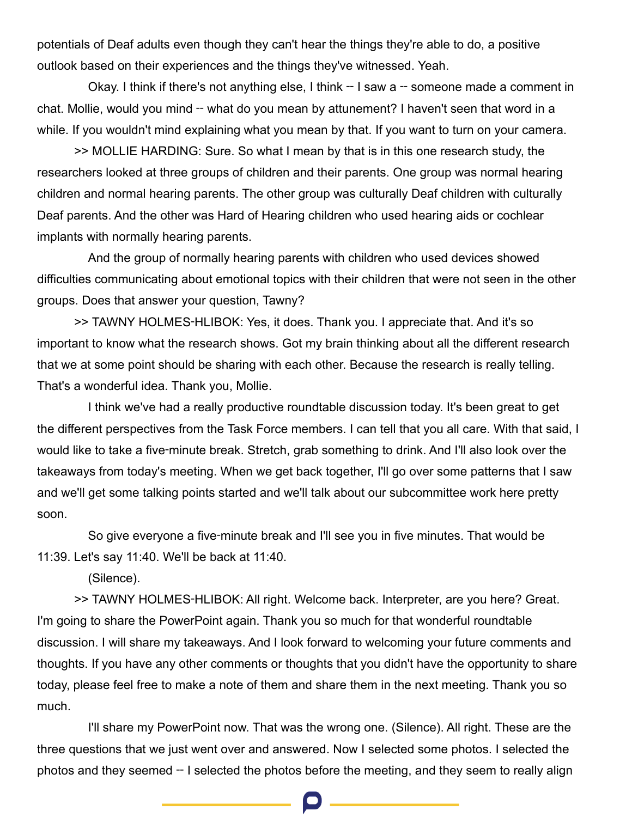potentials of Deaf adults even though they can't hear the things they're able to do, a positive outlook based on their experiences and the things they've witnessed. Yeah.

Okay. I think if there's not anything else, I think -- I saw a -- someone made a comment in chat. Mollie, would you mind -- what do you mean by attunement? I haven't seen that word in a while. If you wouldn't mind explaining what you mean by that. If you want to turn on your camera.

>> MOLLIE HARDING: Sure. So what I mean by that is in this one research study, the researchers looked at three groups of children and their parents. One group was normal hearing children and normal hearing parents. The other group was culturally Deaf children with culturally Deaf parents. And the other was Hard of Hearing children who used hearing aids or cochlear implants with normally hearing parents.

And the group of normally hearing parents with children who used devices showed difficulties communicating about emotional topics with their children that were not seen in the other groups. Does that answer your question, Tawny?

>> TAWNY HOLMES‑HLIBOK: Yes, it does. Thank you. I appreciate that. And it's so important to know what the research shows. Got my brain thinking about all the different research that we at some point should be sharing with each other. Because the research is really telling. That's a wonderful idea. Thank you, Mollie.

I think we've had a really productive roundtable discussion today. It's been great to get the different perspectives from the Task Force members. I can tell that you all care. With that said, I would like to take a five-minute break. Stretch, grab something to drink. And I'll also look over the takeaways from today's meeting. When we get back together, I'll go over some patterns that I saw and we'll get some talking points started and we'll talk about our subcommittee work here pretty soon.

So give everyone a five-minute break and I'll see you in five minutes. That would be 11:39. Let's say 11:40. We'll be back at 11:40.

(Silence).

>> TAWNY HOLMES‑HLIBOK: All right. Welcome back. Interpreter, are you here? Great. I'm going to share the PowerPoint again. Thank you so much for that wonderful roundtable discussion. I will share my takeaways. And I look forward to welcoming your future comments and thoughts. If you have any other comments or thoughts that you didn't have the opportunity to share today, please feel free to make a note of them and share them in the next meeting. Thank you so much.

I'll share my PowerPoint now. That was the wrong one. (Silence). All right. These are the three questions that we just went over and answered. Now I selected some photos. I selected the photos and they seemed ‑‑ I selected the photos before the meeting, and they seem to really align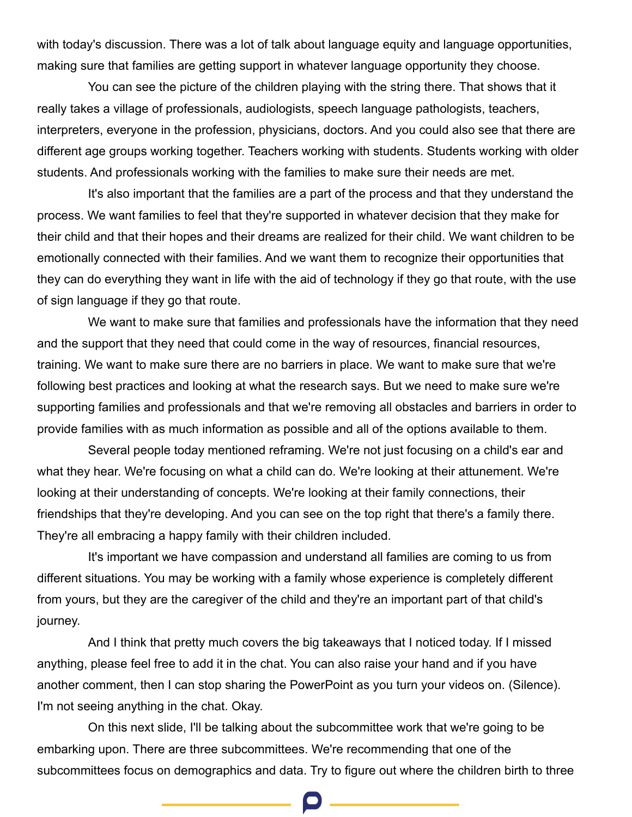with today's discussion. There was a lot of talk about language equity and language opportunities, making sure that families are getting support in whatever language opportunity they choose.

You can see the picture of the children playing with the string there. That shows that it really takes a village of professionals, audiologists, speech language pathologists, teachers, interpreters, everyone in the profession, physicians, doctors. And you could also see that there are different age groups working together. Teachers working with students. Students working with older students. And professionals working with the families to make sure their needs are met.

It's also important that the families are a part of the process and that they understand the process. We want families to feel that they're supported in whatever decision that they make for their child and that their hopes and their dreams are realized for their child. We want children to be emotionally connected with their families. And we want them to recognize their opportunities that they can do everything they want in life with the aid of technology if they go that route, with the use of sign language if they go that route.

We want to make sure that families and professionals have the information that they need and the support that they need that could come in the way of resources, financial resources, training. We want to make sure there are no barriers in place. We want to make sure that we're following best practices and looking at what the research says. But we need to make sure we're supporting families and professionals and that we're removing all obstacles and barriers in order to provide families with as much information as possible and all of the options available to them.

Several people today mentioned reframing. We're not just focusing on a child's ear and what they hear. We're focusing on what a child can do. We're looking at their attunement. We're looking at their understanding of concepts. We're looking at their family connections, their friendships that they're developing. And you can see on the top right that there's a family there. They're all embracing a happy family with their children included.

It's important we have compassion and understand all families are coming to us from different situations. You may be working with a family whose experience is completely different from yours, but they are the caregiver of the child and they're an important part of that child's journey.

And I think that pretty much covers the big takeaways that I noticed today. If I missed anything, please feel free to add it in the chat. You can also raise your hand and if you have another comment, then I can stop sharing the PowerPoint as you turn your videos on. (Silence). I'm not seeing anything in the chat. Okay.

On this next slide, I'll be talking about the subcommittee work that we're going to be embarking upon. There are three subcommittees. We're recommending that one of the subcommittees focus on demographics and data. Try to figure out where the children birth to three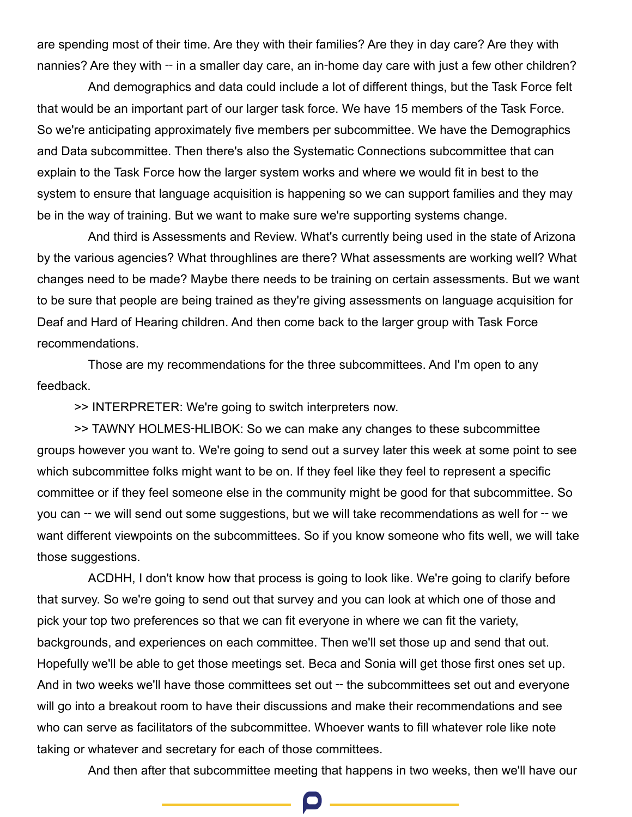are spending most of their time. Are they with their families? Are they in day care? Are they with nannies? Are they with — in a smaller day care, an in-home day care with just a few other children?

And demographics and data could include a lot of different things, but the Task Force felt that would be an important part of our larger task force. We have 15 members of the Task Force. So we're anticipating approximately five members per subcommittee. We have the Demographics and Data subcommittee. Then there's also the Systematic Connections subcommittee that can explain to the Task Force how the larger system works and where we would fit in best to the system to ensure that language acquisition is happening so we can support families and they may be in the way of training. But we want to make sure we're supporting systems change.

And third is Assessments and Review. What's currently being used in the state of Arizona by the various agencies? What throughlines are there? What assessments are working well? What changes need to be made? Maybe there needs to be training on certain assessments. But we want to be sure that people are being trained as they're giving assessments on language acquisition for Deaf and Hard of Hearing children. And then come back to the larger group with Task Force recommendations.

Those are my recommendations for the three subcommittees. And I'm open to any feedback.

>> INTERPRETER: We're going to switch interpreters now.

>> TAWNY HOLMES‑HLIBOK: So we can make any changes to these subcommittee groups however you want to. We're going to send out a survey later this week at some point to see which subcommittee folks might want to be on. If they feel like they feel to represent a specific committee or if they feel someone else in the community might be good for that subcommittee. So you can -- we will send out some suggestions, but we will take recommendations as well for -- we want different viewpoints on the subcommittees. So if you know someone who fits well, we will take those suggestions.

ACDHH, I don't know how that process is going to look like. We're going to clarify before that survey. So we're going to send out that survey and you can look at which one of those and pick your top two preferences so that we can fit everyone in where we can fit the variety, backgrounds, and experiences on each committee. Then we'll set those up and send that out. Hopefully we'll be able to get those meetings set. Beca and Sonia will get those first ones set up. And in two weeks we'll have those committees set out – the subcommittees set out and everyone will go into a breakout room to have their discussions and make their recommendations and see who can serve as facilitators of the subcommittee. Whoever wants to fill whatever role like note taking or whatever and secretary for each of those committees.

And then after that subcommittee meeting that happens in two weeks, then we'll have our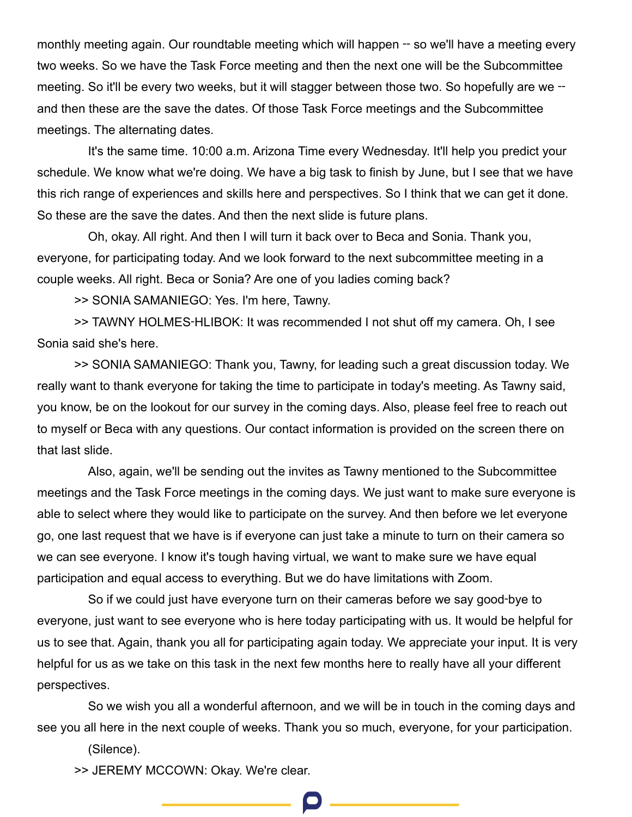monthly meeting again. Our roundtable meeting which will happen -- so we'll have a meeting every two weeks. So we have the Task Force meeting and then the next one will be the Subcommittee meeting. So it'll be every two weeks, but it will stagger between those two. So hopefully are we – and then these are the save the dates. Of those Task Force meetings and the Subcommittee meetings. The alternating dates.

It's the same time. 10:00 a.m. Arizona Time every Wednesday. It'll help you predict your schedule. We know what we're doing. We have a big task to finish by June, but I see that we have this rich range of experiences and skills here and perspectives. So I think that we can get it done. So these are the save the dates. And then the next slide is future plans.

Oh, okay. All right. And then I will turn it back over to Beca and Sonia. Thank you, everyone, for participating today. And we look forward to the next subcommittee meeting in a couple weeks. All right. Beca or Sonia? Are one of you ladies coming back?

>> SONIA SAMANIEGO: Yes. I'm here, Tawny.

>> TAWNY HOLMES‑HLIBOK: It was recommended I not shut off my camera. Oh, I see Sonia said she's here.

>> SONIA SAMANIEGO: Thank you, Tawny, for leading such a great discussion today. We really want to thank everyone for taking the time to participate in today's meeting. As Tawny said, you know, be on the lookout for our survey in the coming days. Also, please feel free to reach out to myself or Beca with any questions. Our contact information is provided on the screen there on that last slide.

Also, again, we'll be sending out the invites as Tawny mentioned to the Subcommittee meetings and the Task Force meetings in the coming days. We just want to make sure everyone is able to select where they would like to participate on the survey. And then before we let everyone go, one last request that we have is if everyone can just take a minute to turn on their camera so we can see everyone. I know it's tough having virtual, we want to make sure we have equal participation and equal access to everything. But we do have limitations with Zoom.

So if we could just have everyone turn on their cameras before we say good‑bye to everyone, just want to see everyone who is here today participating with us. It would be helpful for us to see that. Again, thank you all for participating again today. We appreciate your input. It is very helpful for us as we take on this task in the next few months here to really have all your different perspectives.

So we wish you all a wonderful afternoon, and we will be in touch in the coming days and see you all here in the next couple of weeks. Thank you so much, everyone, for your participation.

(Silence).

>> JEREMY MCCOWN: Okay. We're clear.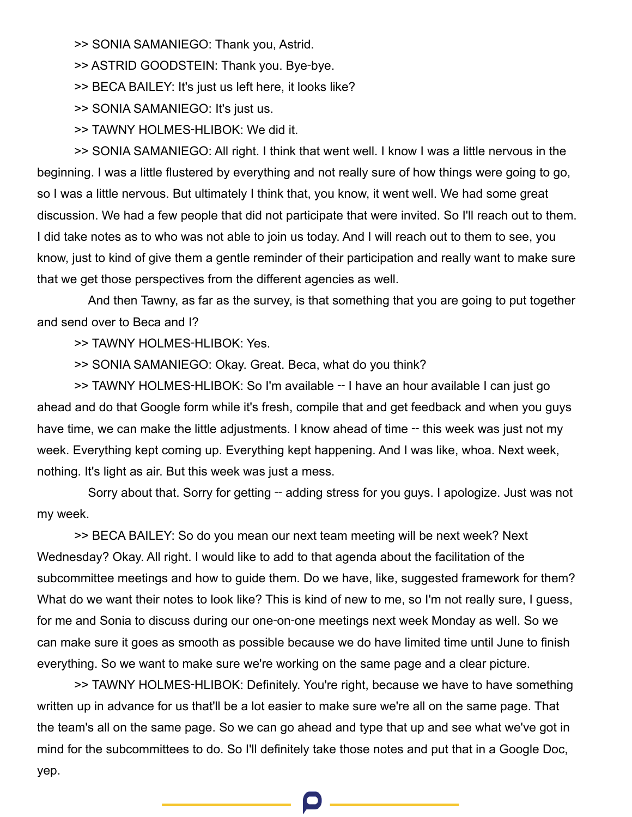>> SONIA SAMANIEGO: Thank you, Astrid.

>> ASTRID GOODSTEIN: Thank you. Bye‑bye.

>> BECA BAILEY: It's just us left here, it looks like?

>> SONIA SAMANIEGO: It's just us.

>> TAWNY HOLMES‑HLIBOK: We did it.

>> SONIA SAMANIEGO: All right. I think that went well. I know I was a little nervous in the beginning. I was a little flustered by everything and not really sure of how things were going to go, so I was a little nervous. But ultimately I think that, you know, it went well. We had some great discussion. We had a few people that did not participate that were invited. So I'll reach out to them. I did take notes as to who was not able to join us today. And I will reach out to them to see, you know, just to kind of give them a gentle reminder of their participation and really want to make sure that we get those perspectives from the different agencies as well.

And then Tawny, as far as the survey, is that something that you are going to put together and send over to Beca and I?

>> TAWNY HOLMES‑HLIBOK: Yes.

>> SONIA SAMANIEGO: Okay. Great. Beca, what do you think?

>> TAWNY HOLMES-HLIBOK: So I'm available -- I have an hour available I can just go ahead and do that Google form while it's fresh, compile that and get feedback and when you guys have time, we can make the little adjustments. I know ahead of time -- this week was just not my week. Everything kept coming up. Everything kept happening. And I was like, whoa. Next week, nothing. It's light as air. But this week was just a mess.

Sorry about that. Sorry for getting -- adding stress for you guys. I apologize. Just was not my week.

>> BECA BAILEY: So do you mean our next team meeting will be next week? Next Wednesday? Okay. All right. I would like to add to that agenda about the facilitation of the subcommittee meetings and how to guide them. Do we have, like, suggested framework for them? What do we want their notes to look like? This is kind of new to me, so I'm not really sure, I guess, for me and Sonia to discuss during our one‑on‑one meetings next week Monday as well. So we can make sure it goes as smooth as possible because we do have limited time until June to finish everything. So we want to make sure we're working on the same page and a clear picture.

>> TAWNY HOLMES‑HLIBOK: Definitely. You're right, because we have to have something written up in advance for us that'll be a lot easier to make sure we're all on the same page. That the team's all on the same page. So we can go ahead and type that up and see what we've got in mind for the subcommittees to do. So I'll definitely take those notes and put that in a Google Doc, yep.